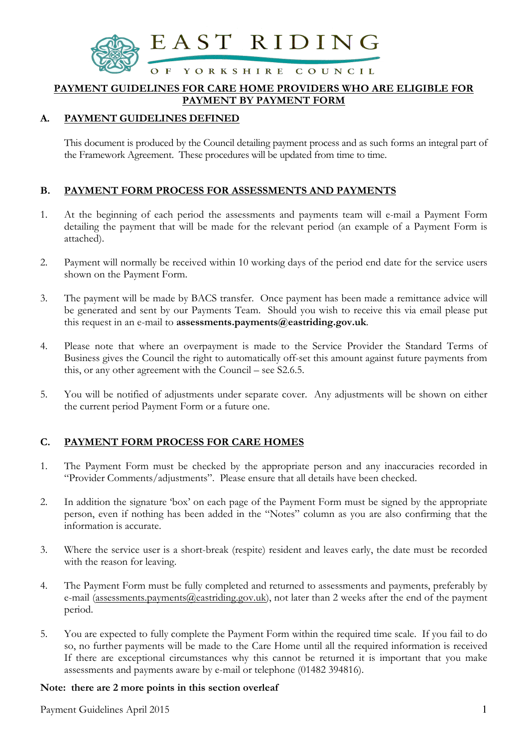

#### PAYMENT GUIDELINES FOR CARE HOME PROVIDERS WHO ARE ELIGIBLE FOR PAYMENT BY PAYMENT FORM

# A. PAYMENT GUIDELINES DEFINED

This document is produced by the Council detailing payment process and as such forms an integral part of the Framework Agreement. These procedures will be updated from time to time.

# B. PAYMENT FORM PROCESS FOR ASSESSMENTS AND PAYMENTS

- 1. At the beginning of each period the assessments and payments team will e-mail a Payment Form detailing the payment that will be made for the relevant period (an example of a Payment Form is attached).
- 2. Payment will normally be received within 10 working days of the period end date for the service users shown on the Payment Form.
- 3. The payment will be made by BACS transfer. Once payment has been made a remittance advice will be generated and sent by our Payments Team. Should you wish to receive this via email please put this request in an e-mail to assessments.payments@eastriding.gov.uk.
- 4. Please note that where an overpayment is made to the Service Provider the Standard Terms of Business gives the Council the right to automatically off-set this amount against future payments from this, or any other agreement with the Council – see S2.6.5.
- 5. You will be notified of adjustments under separate cover. Any adjustments will be shown on either the current period Payment Form or a future one.

### C. PAYMENT FORM PROCESS FOR CARE HOMES

- 1. The Payment Form must be checked by the appropriate person and any inaccuracies recorded in "Provider Comments/adjustments". Please ensure that all details have been checked.
- 2. In addition the signature 'box' on each page of the Payment Form must be signed by the appropriate person, even if nothing has been added in the "Notes" column as you are also confirming that the information is accurate.
- 3. Where the service user is a short-break (respite) resident and leaves early, the date must be recorded with the reason for leaving.
- 4. The Payment Form must be fully completed and returned to assessments and payments, preferably by e-mail (assessments.payments@eastriding.gov.uk), not later than 2 weeks after the end of the payment period.
- 5. You are expected to fully complete the Payment Form within the required time scale. If you fail to do so, no further payments will be made to the Care Home until all the required information is received If there are exceptional circumstances why this cannot be returned it is important that you make assessments and payments aware by e-mail or telephone (01482 394816).

#### Note: there are 2 more points in this section overleaf

Payment Guidelines April 2015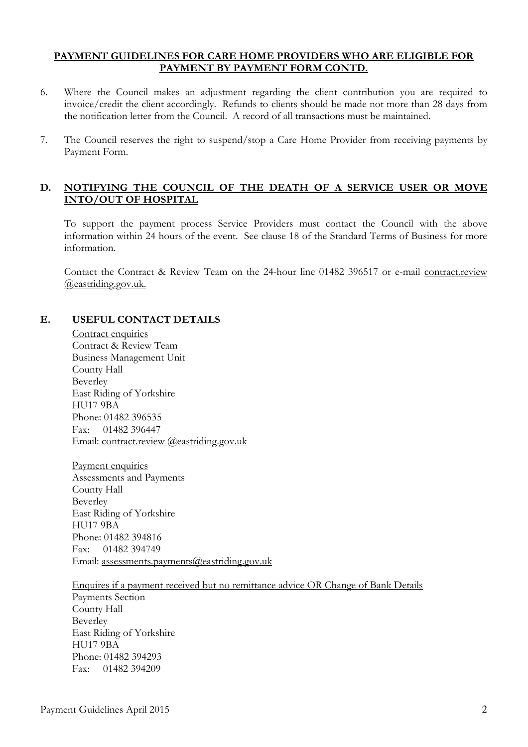#### PAYMENT GUIDELINES FOR CARE HOME PROVIDERS WHO ARE ELIGIBLE FOR PAYMENT BY PAYMENT FORM CONTD.

- 6. Where the Council makes an adjustment regarding the client contribution you are required to invoice/credit the client accordingly. Refunds to clients should be made not more than 28 days from the notification letter from the Council. A record of all transactions must be maintained.
- 7. The Council reserves the right to suspend/stop a Care Home Provider from receiving payments by Payment Form.

### D. NOTIFYING THE COUNCIL OF THE DEATH OF A SERVICE USER OR MOVE INTO/OUT OF HOSPITAL

To support the payment process Service Providers must contact the Council with the above information within 24 hours of the event. See clause 18 of the Standard Terms of Business for more information.

Contact the Contract & Review Team on the 24-hour line 01482 396517 or e-mail contract.review @eastriding.gov.uk.

# E. USEFUL CONTACT DETAILS

Contract enquiries Contract & Review Team Business Management Unit County Hall Beverley East Riding of Yorkshire HU17 9BA Phone: 01482 396535 Fax: 01482 396447 Email: contract.review @eastriding.gov.uk

Payment enquiries Assessments and Payments County Hall Beverley East Riding of Yorkshire HU17 9BA Phone: 01482 394816 Fax: 01482 394749 Email: assessments.payments@eastriding.gov.uk

#### Enquires if a payment received but no remittance advice OR Change of Bank Details

Payments Section County Hall Beverley East Riding of Yorkshire HU17 9BA Phone: 01482 394293 Fax: 01482 394209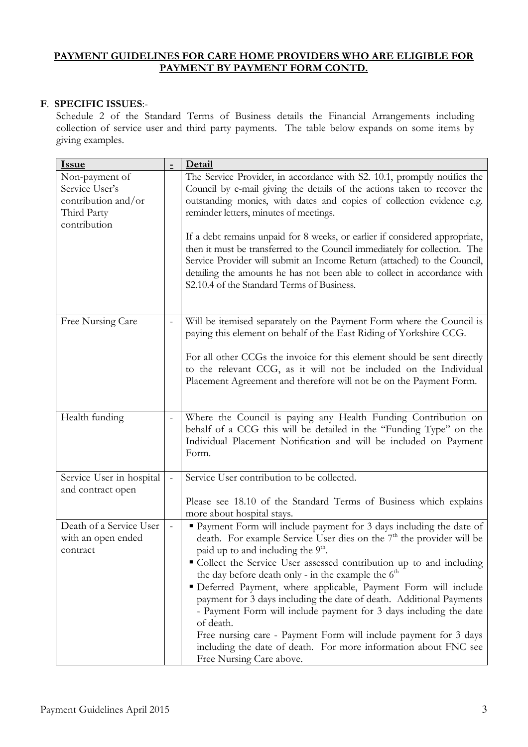# PAYMENT GUIDELINES FOR CARE HOME PROVIDERS WHO ARE ELIGIBLE FOR PAYMENT BY PAYMENT FORM CONTD.

# F. SPECIFIC ISSUES:-

Schedule 2 of the Standard Terms of Business details the Financial Arrangements including collection of service user and third party payments. The table below expands on some items by giving examples.

| <b>Issue</b>                                                                           |          | Detail                                                                                                                                                                                                                                                                                                                                                                                                                                                                                                                                                                                                                                                                                                                                    |
|----------------------------------------------------------------------------------------|----------|-------------------------------------------------------------------------------------------------------------------------------------------------------------------------------------------------------------------------------------------------------------------------------------------------------------------------------------------------------------------------------------------------------------------------------------------------------------------------------------------------------------------------------------------------------------------------------------------------------------------------------------------------------------------------------------------------------------------------------------------|
| Non-payment of<br>Service User's<br>contribution and/or<br>Third Party<br>contribution |          | The Service Provider, in accordance with S2. 10.1, promptly notifies the<br>Council by e-mail giving the details of the actions taken to recover the<br>outstanding monies, with dates and copies of collection evidence e.g.<br>reminder letters, minutes of meetings.                                                                                                                                                                                                                                                                                                                                                                                                                                                                   |
|                                                                                        |          | If a debt remains unpaid for 8 weeks, or earlier if considered appropriate,<br>then it must be transferred to the Council immediately for collection. The<br>Service Provider will submit an Income Return (attached) to the Council,<br>detailing the amounts he has not been able to collect in accordance with<br>S2.10.4 of the Standard Terms of Business.                                                                                                                                                                                                                                                                                                                                                                           |
| Free Nursing Care                                                                      | $\Box$   | Will be itemised separately on the Payment Form where the Council is<br>paying this element on behalf of the East Riding of Yorkshire CCG.<br>For all other CCGs the invoice for this element should be sent directly<br>to the relevant CCG, as it will not be included on the Individual<br>Placement Agreement and therefore will not be on the Payment Form.                                                                                                                                                                                                                                                                                                                                                                          |
| Health funding                                                                         |          | Where the Council is paying any Health Funding Contribution on<br>behalf of a CCG this will be detailed in the "Funding Type" on the<br>Individual Placement Notification and will be included on Payment<br>Form.                                                                                                                                                                                                                                                                                                                                                                                                                                                                                                                        |
| Service User in hospital<br>and contract open                                          | $\equiv$ | Service User contribution to be collected.<br>Please see 18.10 of the Standard Terms of Business which explains<br>more about hospital stays.                                                                                                                                                                                                                                                                                                                                                                                                                                                                                                                                                                                             |
| Death of a Service User<br>with an open ended<br>contract                              |          | " Payment Form will include payment for 3 days including the date of<br>death. For example Service User dies on the 7 <sup>th</sup> the provider will be<br>paid up to and including the 9 <sup>th</sup> .<br>• Collect the Service User assessed contribution up to and including<br>the day before death only - in the example the $6th$<br>" Deferred Payment, where applicable, Payment Form will include<br>payment for 3 days including the date of death. Additional Payments<br>- Payment Form will include payment for 3 days including the date<br>of death.<br>Free nursing care - Payment Form will include payment for 3 days<br>including the date of death. For more information about FNC see<br>Free Nursing Care above. |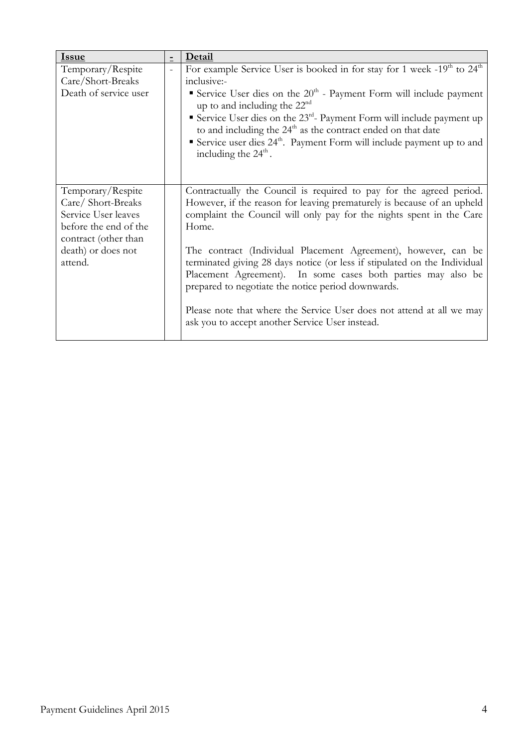| <b>Issue</b>                                                                                                                                    | $\equiv$ | Detail                                                                                                                                                                                                                                                                                                                                                                    |
|-------------------------------------------------------------------------------------------------------------------------------------------------|----------|---------------------------------------------------------------------------------------------------------------------------------------------------------------------------------------------------------------------------------------------------------------------------------------------------------------------------------------------------------------------------|
| Temporary/Respite                                                                                                                               | $\equiv$ | For example Service User is booked in for stay for 1 week -19 <sup>th</sup> to 24 <sup>th</sup>                                                                                                                                                                                                                                                                           |
| Care/Short-Breaks                                                                                                                               |          | inclusive:-                                                                                                                                                                                                                                                                                                                                                               |
| Death of service user                                                                                                                           |          | Service User dies on the $20th$ - Payment Form will include payment<br>up to and including the $22nd$<br>Service User dies on the 23 <sup>rd</sup> - Payment Form will include payment up<br>to and including the $24th$ as the contract ended on that date<br>Service user dies $24th$ . Payment Form will include payment up to and<br>including the $24^{\text{th}}$ . |
| Temporary/Respite<br>Care/Short-Breaks<br>Service User leaves<br>before the end of the<br>contract (other than<br>death) or does not<br>attend. |          | Contractually the Council is required to pay for the agreed period.<br>However, if the reason for leaving prematurely is because of an upheld<br>complaint the Council will only pay for the nights spent in the Care<br>Home.                                                                                                                                            |
|                                                                                                                                                 |          | The contract (Individual Placement Agreement), however, can be<br>terminated giving 28 days notice (or less if stipulated on the Individual<br>Placement Agreement). In some cases both parties may also be<br>prepared to negotiate the notice period downwards.                                                                                                         |
|                                                                                                                                                 |          | Please note that where the Service User does not attend at all we may<br>ask you to accept another Service User instead.                                                                                                                                                                                                                                                  |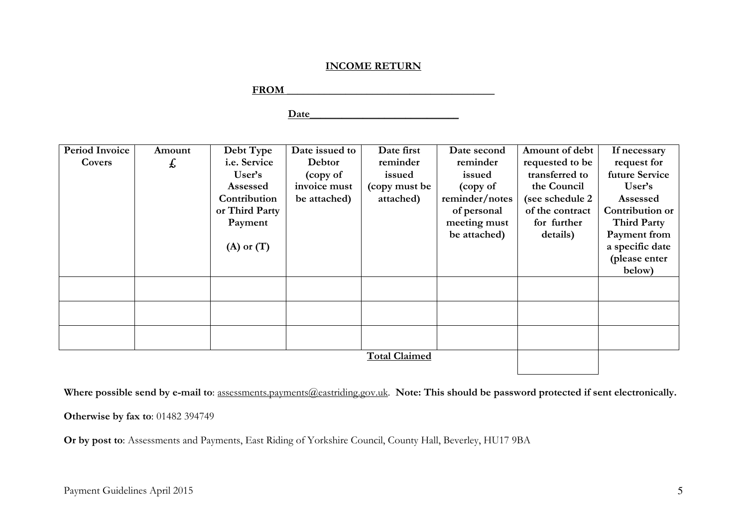# INCOME RETURN

FROM THE RESERVE TO A LIMIT OF THE RESERVE TO A LIMIT OF THE RESERVE TO A LIMIT OF THE RESERVE TO A LIMIT OF THE RESERVE TO A LIMIT OF THE RESERVE TO A LIMIT OF THE RESERVE TO A LIMIT OF THE RESERVE TO A LIMIT OF THE RESER

Date\_\_\_\_\_\_\_\_\_\_\_\_\_\_\_\_\_\_\_\_\_\_\_\_\_\_\_\_

| Period Invoice<br>Covers | Amount | Debt Type<br>i.e. Service      | Date issued to<br>Debtor | Date first<br>reminder  | Date second<br>reminder       | Amount of debt<br>requested to be   | If necessary<br>request for                                            |
|--------------------------|--------|--------------------------------|--------------------------|-------------------------|-------------------------------|-------------------------------------|------------------------------------------------------------------------|
|                          | £,     | User's<br>Assessed             | (copy of<br>invoice must | issued<br>(copy must be | issued<br>(copy of            | transferred to<br>the Council       | future Service<br>User's                                               |
|                          |        | Contribution<br>or Third Party | be attached)             | attached)               | reminder/notes<br>of personal | (see schedule 2)<br>of the contract | Assessed<br>Contribution or                                            |
|                          |        | Payment<br>$(A)$ or $(T)$      |                          |                         | meeting must<br>be attached)  | for further<br>details)             | <b>Third Party</b><br>Payment from<br>a specific date<br>(please enter |
|                          |        |                                |                          |                         |                               |                                     | below)                                                                 |
|                          |        |                                |                          |                         |                               |                                     |                                                                        |
|                          |        |                                |                          |                         |                               |                                     |                                                                        |
|                          |        |                                |                          |                         |                               |                                     |                                                                        |
|                          |        |                                |                          | <b>Total Claimed</b>    |                               |                                     |                                                                        |

Where possible send by e-mail to: assessments.payments@eastriding.gov.uk. Note: This should be password protected if sent electronically.

Otherwise by fax to: 01482 394749

Or by post to: Assessments and Payments, East Riding of Yorkshire Council, County Hall, Beverley, HU17 9BA